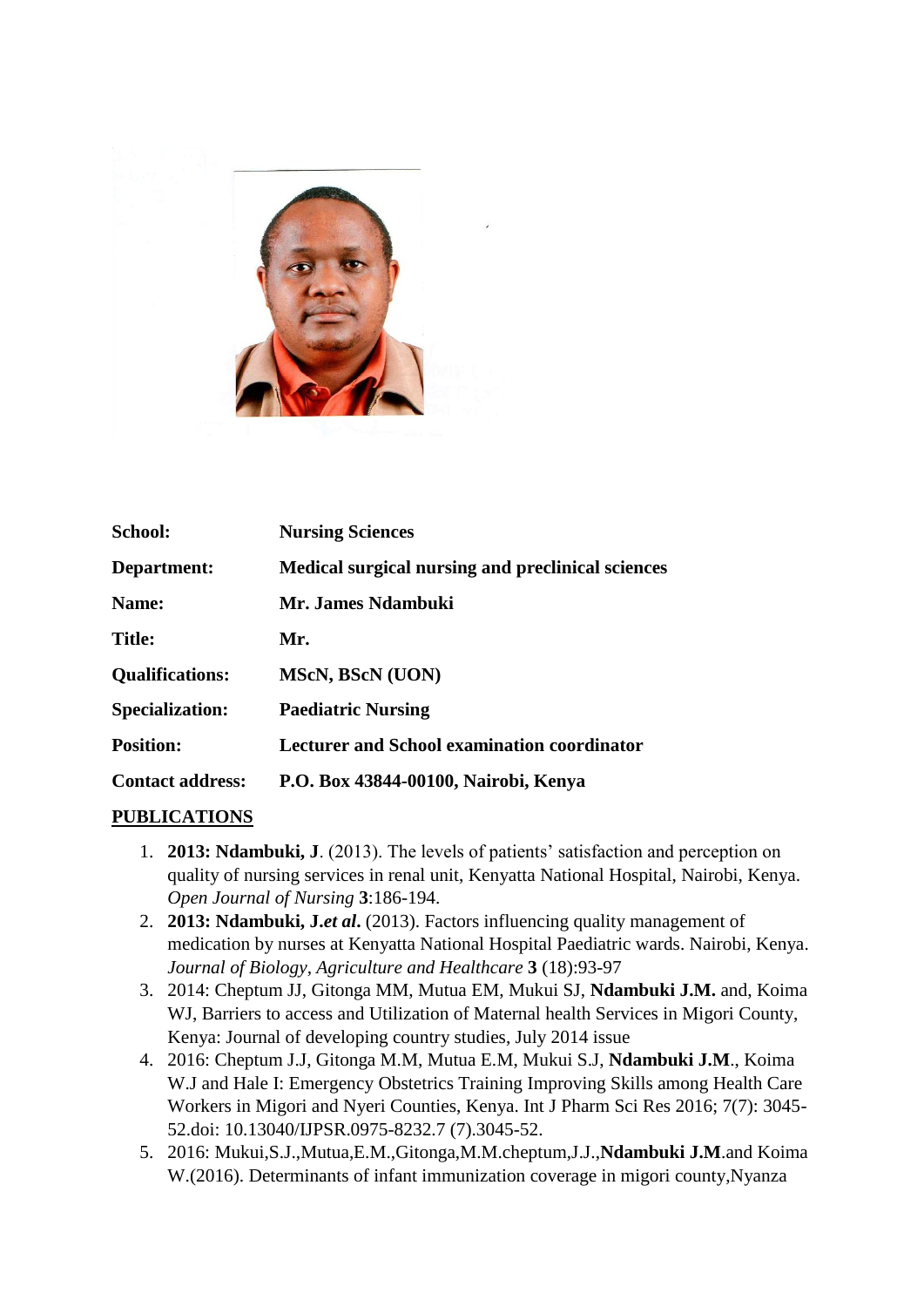

| <b>School:</b>          | <b>Nursing Sciences</b>                            |
|-------------------------|----------------------------------------------------|
| Department:             | Medical surgical nursing and preclinical sciences  |
| Name:                   | Mr. James Ndambuki                                 |
| <b>Title:</b>           | Mr.                                                |
| <b>Qualifications:</b>  | <b>MScN, BScN (UON)</b>                            |
| <b>Specialization:</b>  | <b>Paediatric Nursing</b>                          |
| <b>Position:</b>        | <b>Lecturer and School examination coordinator</b> |
| <b>Contact address:</b> | P.O. Box 43844-00100, Nairobi, Kenya               |

## **PUBLICATIONS**

- 1. **2013: Ndambuki, J**. (2013). The levels of patients' satisfaction and perception on quality of nursing services in renal unit, Kenyatta National Hospital, Nairobi, Kenya. *Open Journal of Nursing* **3**:186-194.
- 2. **2013: Ndambuki, J.***et al***.** (2013). Factors influencing quality management of medication by nurses at Kenyatta National Hospital Paediatric wards. Nairobi, Kenya. *Journal of Biology, Agriculture and Healthcare* **3** (18):93-97
- 3. 2014: Cheptum JJ, Gitonga MM, Mutua EM, Mukui SJ, **Ndambuki J.M.** and, Koima WJ, Barriers to access and Utilization of Maternal health Services in Migori County, Kenya: Journal of developing country studies, July 2014 issue
- 4. 2016: Cheptum J.J, Gitonga M.M, Mutua E.M, Mukui S.J, **Ndambuki J.M**., Koima W.J and Hale I: Emergency Obstetrics Training Improving Skills among Health Care Workers in Migori and Nyeri Counties, Kenya. Int J Pharm Sci Res 2016; 7(7): 3045- 52.doi: 10.13040/IJPSR.0975-8232.7 (7).3045-52.
- 5. 2016: Mukui,S.J.,Mutua,E.M.,Gitonga,M.M.cheptum,J.J.,**Ndambuki J.M**.and Koima W.(2016). Determinants of infant immunization coverage in migori county,Nyanza